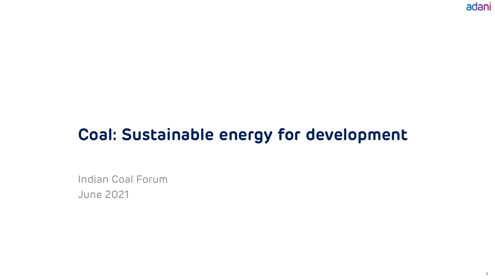adani

**1**

# **Coal: Sustainable energy for development**

Indian Coal Forum June 2021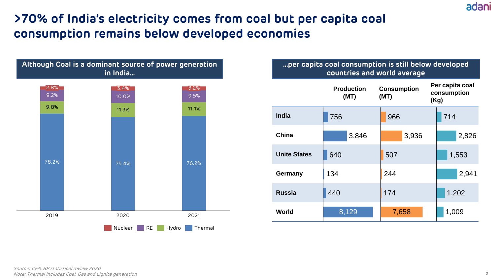# **>70% of India's electricity comes from coal but per capita coal consumption remains below developed economies**



#### **…per capita coal consumption is still below developed countries and world average**

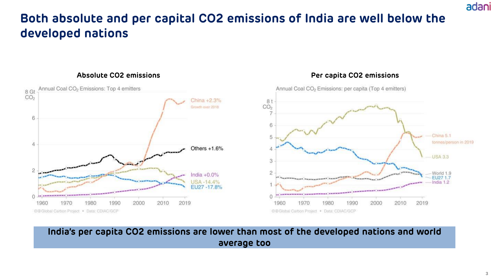### **Both absolute and per capital CO2 emissions of India are well below the developed nations**



#### **Absolute CO2 emissions Per capita CO2 emissions**

### **India's per capita CO2 emissions are lower than most of the developed nations and world average too**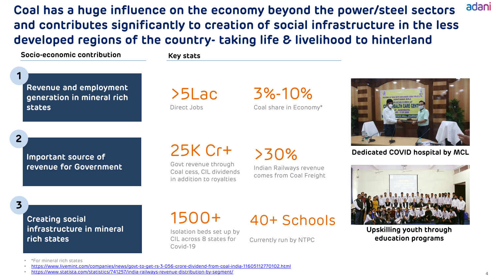adani **Coal has a huge influence on the economy beyond the power/steel sectors and contributes significantly to creation of social infrastructure in the less developed regions of the country- taking life & livelihood to hinterland**

**Socio-economic contribution Key stats**

**1**

**2**

**3**

**Revenue and employment generation in mineral rich states**

>5Lac Direct Jobs

3%-10% Coal share in Economy\*



**Dedicated COVID hospital by MCL**



**Upskilling youth through education programs**

**Important source of revenue for Government**

# 25K Cr+

Govt revenue through Coal cess, CIL dividends in addition to royalties

>30%

Indian Railways revenue comes from Coal Freight

40+ Schools

### **Creating social infrastructure in mineral rich states**

# 1500+

Isolation beds set up by CIL across 8 states for Covid-19

Currently run by NTPC

• \*For mineral rich states

• <https://www.statista.com/statistics/741257/india-railways-revenue-distribution-by-segment/>

<sup>•</sup> <https://www.livemint.com/companies/news/govt-to-get-rs-3-056-crore-dividend-from-coal-india-11605112770102.html>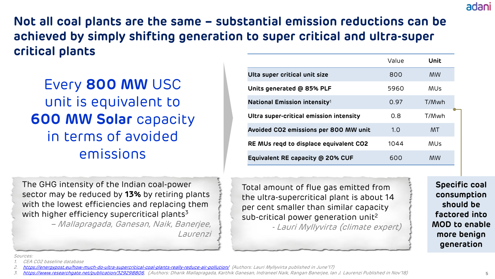**Not all coal plants are the same – substantial emission reductions can be achieved by simply shifting generation to super critical and ultra-super critical plants**

Every **800 MW** USC unit is equivalent to **600 MW Solar** capacity in terms of avoided emissions

The GHG intensity of the Indian coal-power sector may be reduced by **13%** by retiring plants with the lowest efficiencies and replacing them with higher efficiency supercritical plants $3$ 

> – Mallapragada, Ganesan, Naik, Banerjee, Laurenzi

|                                          | Value | Unit       |
|------------------------------------------|-------|------------|
| Ulta super critical unit size            | 800   | MW.        |
| Units generated @ 85% PLF                | 5960  | MUs        |
| National Emission intensity <sup>1</sup> | 0.97  | T/Mwh      |
| Ultra super-critical emission intensity  | 0.8   | T/Mwh      |
| Avoided CO2 emissions per 800 MW unit    | 1.0   | MT.        |
| RE MUs regd to displace equivalent CO2   | 1044  | <b>MUs</b> |
| Equivalent RE capacity @ 20% CUF         | 600   | <b>MW</b>  |

Total amount of flue gas emitted from the ultra-supercritical plant is about 14 per cent smaller than similar capacity sub-critical power generation unit<sup>2</sup> - Lauri Myllyvirta (climate expert)

**Specific coal consumption should be factored into MOD to enable more benign generation**

Sources:

CEA CO2 baseline database

<sup>2.</sup> <https://energypost.eu/how-much-do-ultra-supercritical-coal-plants-really-reduce-air-pollution/> (Authors: Lauri Myllyvirta published in June'17)

<sup>3.</sup> [https://www.researchgate.net/publication/329298806,](https://www.researchgate.net/publication/329298806) (,Authors: Dharik Mallapragada, Karthik Ganesan, Indraneel Naik, Rangan Banerjee, Ian J. Laurenzi Published in Nov'18)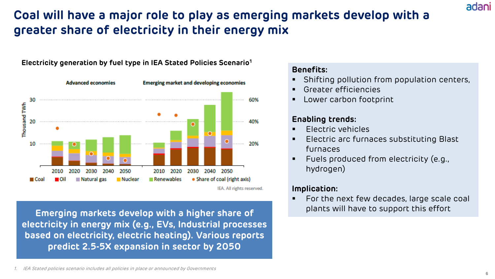### **Coal will have a major role to play as emerging markets develop with a greater share of electricity in their energy mix**

#### **Electricity generation by fuel type in IEA Stated Policies Scenario<sup>1</sup>**



**Emerging markets develop with a higher share of electricity in energy mix (e.g., EVs, Industrial processes based on electricity, electric heating). Various reports predict 2.5-5X expansion in sector by 2050**

#### **Benefits:**

- Shifting pollution from population centers,
- Greater efficiencies
- Lower carbon footprint

### **Enabling trends:**

- Electric vehicles
- Electric arc furnaces substituting Blast furnaces
- Fuels produced from electricity (e.g., hydrogen)

### **Implication:**

For the next few decades, large scale coal plants will have to support this effort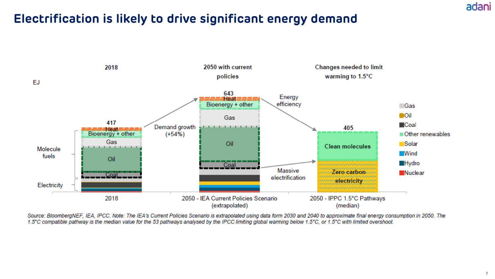### adani

### **Electrification is likely to drive significant energy demand**



Source: BloombergNEF, IEA, IPCC. Note: The IEA's Current Policies Scenario is extrapolated using data form 2030 and 2040 to approximate final energy consumption in 2050. The 1.5°C compatible pathway is the median value for the 53 pathways analysed by the IPCC limiting global warming below 1.5°C, or 1.5°C with limited overshoot.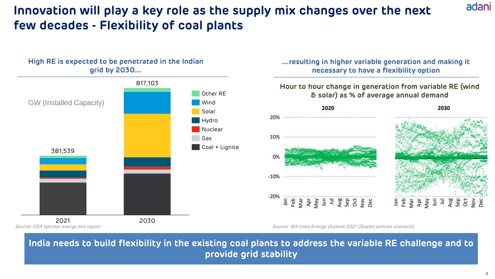### **Innovation will play a key role as the supply mix changes over the next few decades - Flexibility of coal plants**



Source: CEA optimal energy mix report

**….resulting in higher variable generation and making it necessary to have a flexibility option**

#### **Hour to hour change in generation from variable RE (wind & solar) as % of average annual demand**



Source: IEA India Energy Outlook 2021 (Stated policies scenario)

**India needs to build flexibility in the existing coal plants to address the variable RE challenge and to provide grid stability**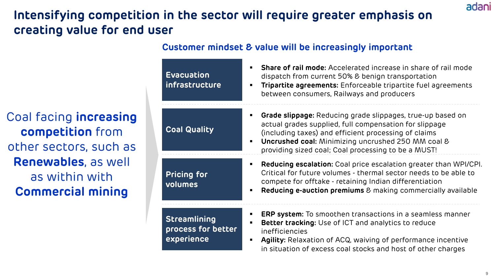# **Intensifying competition in the sector will require greater emphasis on creating value for end user**

**Customer mindset & value will be increasingly important**

**Evacuation infrastructure Coal Quality Pricing for volumes Streamlining process for better experience EXECT:** Share of rail mode: Accelerated increase in share of rail mode dispatch from current 50% & benign transportation **Tripartite agreements:** Enforceable tripartite fuel agreements between consumers, Railways and producers **Grade slippage:** Reducing grade slippages, true-up based on actual grades supplied, full compensation for slippage (including taxes) and efficient processing of claims **Uncrushed coal:** Minimizing uncrushed 250 MM coal & providing sized coal; Coal processing to be a MUST! **Reducing escalation:** Coal price escalation greater than WPI/CPI. Critical for future volumes - thermal sector needs to be able to compete for offtake - retaining Indian differentiation **Reducing e-auction premiums** & making commercially available **ERP system:** To smoothen transactions in a seamless manner **Better tracking:** Use of ICT and analytics to reduce inefficiencies Agility: Relaxation of ACQ, waiving of performance incentive in situation of excess coal stocks and host of other charges

Coal facing **increasing competition** from other sectors, such as **Renewables**, as well as within with **Commercial mining**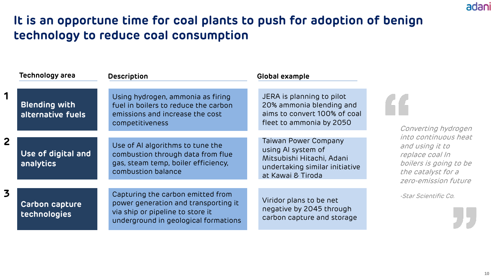### **It is an opportune time for coal plants to push for adoption of benign technology to reduce coal consumption**

|                      | <b>Technology area</b>                    | <b>Description</b>                                                                                                                                    | Global example                                                                                                                 |                                                                                    |
|----------------------|-------------------------------------------|-------------------------------------------------------------------------------------------------------------------------------------------------------|--------------------------------------------------------------------------------------------------------------------------------|------------------------------------------------------------------------------------|
|                      | <b>Blending with</b><br>alternative fuels | Using hydrogen, ammonia as firing<br>fuel in boilers to reduce the carbon<br>emissions and increase the cost<br>competitiveness                       | JERA is planning to pilot<br>20% ammonia blending and<br>aims to convert 100% of coal<br>fleet to ammonia by 2050              | Converting hydrogen                                                                |
|                      |                                           | into continuous heat                                                                                                                                  |                                                                                                                                |                                                                                    |
| $\mathbf{2}$         | Use of digital and<br>analytics           | Use of AI algorithms to tune the<br>combustion through data from flue<br>gas, steam temp, boiler efficiency,<br>combustion balance                    | Taiwan Power Company<br>using AI system of<br>Mitsubishi Hitachi, Adani<br>undertaking similar initiative<br>at Kawai & Tiroda | and using it to<br>replace coal In<br>boilers is going to be<br>the catalyst for a |
| zero-emission future |                                           |                                                                                                                                                       |                                                                                                                                |                                                                                    |
| 3                    | <b>Carbon capture</b><br>technologies     | Capturing the carbon emitted from<br>power generation and transporting it<br>via ship or pipeline to store it<br>underground in geological formations | Viridor plans to be net<br>negative by 2045 through<br>carbon capture and storage                                              | -Star Scientific Co.                                                               |
|                      |                                           |                                                                                                                                                       |                                                                                                                                |                                                                                    |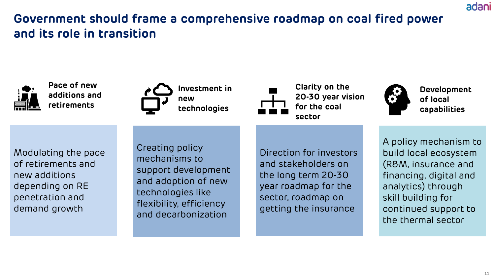# **Government should frame a comprehensive roadmap on coal fired power and its role in transition**



**Pace of new additions and retirements**



**Clarity on the 20-30 year vision for the coal sector**



**Development of local capabilities** 

adani

Modulating the pace of retirements and new additions depending on RE penetration and demand growth

Creating policy mechanisms to support development and adoption of new technologies like flexibility, efficiency and decarbonization

Direction for investors and stakeholders on the long term 20-30 year roadmap for the sector, roadmap on getting the insurance

A policy mechanism to build local ecosystem (R&M, insurance and financing, digital and analytics) through skill building for continued support to the thermal sector